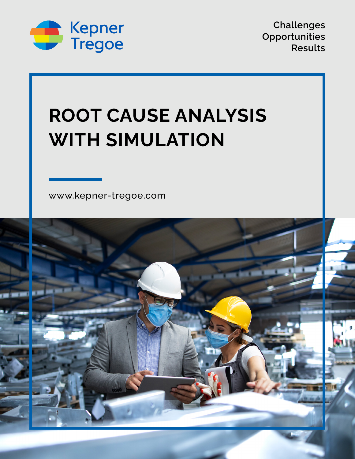

**Challenges Opportunities Results**

# **ROOT CAUSE ANALYSIS WITH SIMULATION**

[www.kepner-tregoe.com](http://www.kepner-tregoe.com)